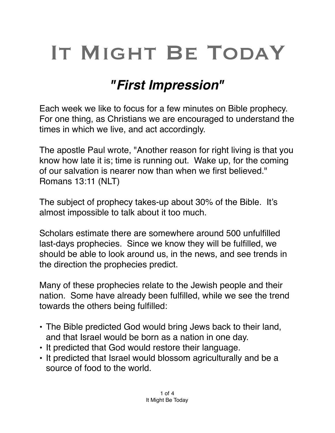## IT MIGHT BE TODAY

## *"First Impression"*

Each week we like to focus for a few minutes on Bible prophecy. For one thing, as Christians we are encouraged to understand the times in which we live, and act accordingly.

The apostle Paul wrote, "Another reason for right living is that you know how late it is; time is running out. Wake up, for the coming of our salvation is nearer now than when we first believed." Romans 13:11 (NLT)

The subject of prophecy takes-up about 30% of the Bible. It's almost impossible to talk about it too much.

Scholars estimate there are somewhere around 500 unfulfilled last-days prophecies. Since we know they will be fulfilled, we should be able to look around us, in the news, and see trends in the direction the prophecies predict.

Many of these prophecies relate to the Jewish people and their nation. Some have already been fulfilled, while we see the trend towards the others being fulfilled:

- The Bible predicted God would bring Jews back to their land, and that Israel would be born as a nation in one day.
- It predicted that God would restore their language.
- It predicted that Israel would blossom agriculturally and be a source of food to the world.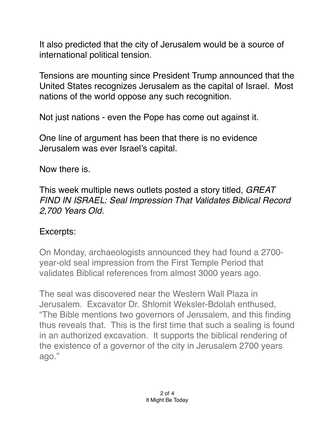It also predicted that the city of Jerusalem would be a source of international political tension.

Tensions are mounting since President Trump announced that the United States recognizes Jerusalem as the capital of Israel. Most nations of the world oppose any such recognition.

Not just nations - even the Pope has come out against it.

One line of argument has been that there is no evidence Jerusalem was ever Israel's capital.

Now there is.

This week multiple news outlets posted a story titled, *GREAT FIND IN ISRAEL: Seal Impression That Validates Biblical Record 2,700 Years Old.*

## Excerpts:

On Monday, archaeologists [announced](http://www.theblaze.com/news/2018/01/01/israeli-archaeologists-find-2700-year-old-artifact-that-backs-biblical-record?utm_content=buffer95f4a&utm_medium=social&utm_source=twitter.com&utm_campaign=buffer) they had found a 2700 year-old seal impression from the First Temple Period that validates Biblical references from almost 3000 years ago.

The seal was discovered near the Western Wall Plaza in Jerusalem. Excavator Dr. Shlomit Weksler-Bdolah [enthused](http://www.israelnationalnews.com/News/News.aspx/240091), "The Bible mentions two governors of Jerusalem, and this finding thus reveals that. This is the first time that such a sealing is found in an authorized excavation. It supports the biblical rendering of the existence of a governor of the city in Jerusalem 2700 years ago."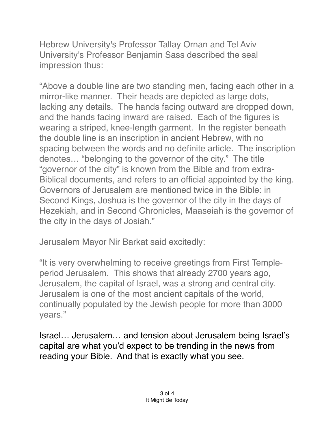Hebrew University's Professor Tallay Ornan and Tel Aviv University's Professor Benjamin Sass described the seal impression thus:

"Above a double line are two standing men, facing each other in a mirror-like manner. Their heads are depicted as large dots, lacking any details. The hands facing outward are dropped down, and the hands facing inward are raised. Each of the figures is wearing a striped, knee-length garment. In the register beneath the double line is an inscription in ancient Hebrew, with no spacing between the words and no definite article. The inscription denotes… "belonging to the governor of the city." The title "governor of the city" is known from the Bible and from extra-Biblical documents, and refers to an official appointed by the king. Governors of Jerusalem are mentioned twice in the Bible: in Second Kings, Joshua is the governor of the city in the days of Hezekiah, and in Second Chronicles, Maaseiah is the governor of the city in the days of Josiah."

Jerusalem Mayor Nir Barkat said excitedly:

"It is very overwhelming to receive greetings from First Templeperiod Jerusalem. This shows that already 2700 years ago, Jerusalem, the capital of Israel, was a strong and central city. Jerusalem is one of the most ancient capitals of the world, continually populated by the Jewish people for more than 3000 years."

Israel… Jerusalem… and tension about Jerusalem being Israel's capital are what you'd expect to be trending in the news from reading your Bible. And that is exactly what you see.